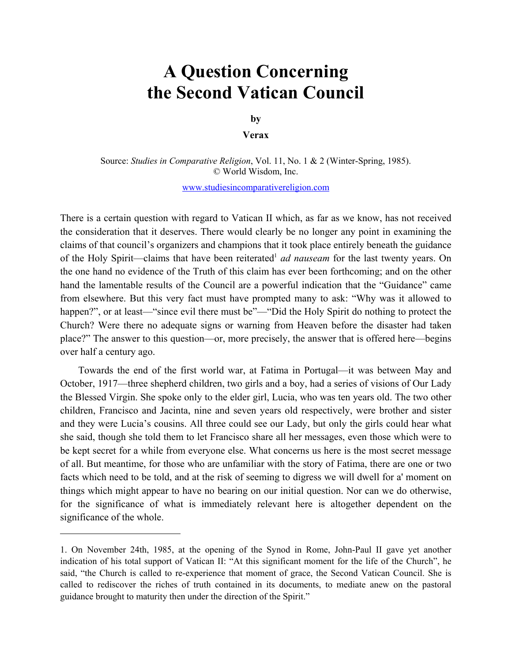## **A Question Concerning the Second Vatican Council**

 $\mathbf{b}\mathbf{y}$ 

**by Verax** 

 Source: *Studies in Comparative Religion*, Vol. 11, No. 1 & 2 (Winter-Spring, 1985). © World Wisdom, Inc.

www.studiesincomparativereligion.com

of the Holy Spirit—claims that have been reiterated<sup>1</sup> *ad nauseam* for the last twenty years. On There is a certain question with regard to Vatican II which, as far as we know, has not received the consideration that it deserves. There would clearly be no longer any point in examining the claims of that council's organizers and champions that it took place entirely beneath the guidance the one hand no evidence of the Truth of this claim has ever been forthcoming; and on the other hand the lamentable results of the Council are a powerful indication that the "Guidance" came from elsewhere. But this very fact must have prompted many to ask: "Why was it allowed to happen?", or at least—"since evil there must be"—"Did the Holy Spirit do nothing to protect the Church? Were there no adequate signs or warning from Heaven before the disaster had taken place?" The answer to this question—or, more precisely, the answer that is offered here—begins over half a century ago.

Towards the end of the first world war, at Fatima in Portugal—it was between May and October, 1917—three shepherd children, two girls and a boy, had a series of visions of Our Lady the Blessed Virgin. She spoke only to the elder girl, Lucia, who was ten years old. The two other children, Francisco and Jacinta, nine and seven years old respectively, were brother and sister and they were Lucia's cousins. All three could see our Lady, but only the girls could hear what she said, though she told them to let Francisco share all her messages, even those which were to be kept secret for a while from everyone else. What concerns us here is the most secret message of all. But meantime, for those who are unfamiliar with the story of Fatima, there are one or two facts which need to be told, and at the risk of seeming to digress we will dwell for a' moment on things which might appear to have no bearing on our initial question. Nor can we do otherwise, for the significance of what is immediately relevant here is altogether dependent on the significance of the whole.

<sup>1.</sup> On November 24th, 1985, at the opening of the Synod in Rome, John-Paul II gave yet another indication of his total support of Vatican II: "At this significant moment for the life of the Church", he said, "the Church is called to re-experience that moment of grace, the Second Vatican Council. She is called to rediscover the riches of truth contained in its documents, to mediate anew on the pastoral guidance brought to maturity then under the direction of the Spirit."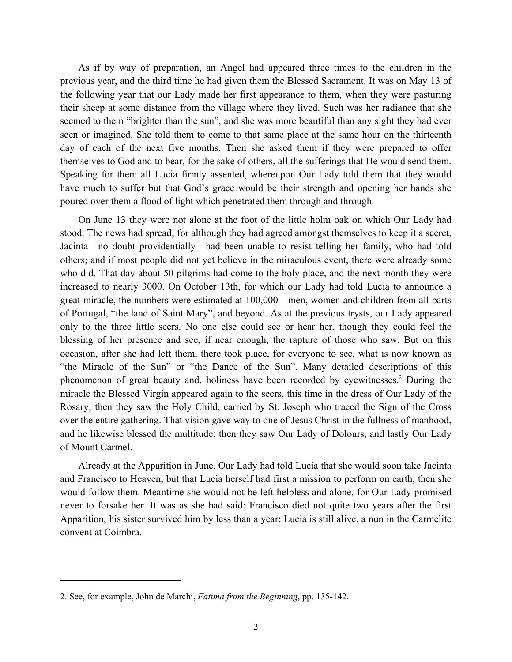As if by way of preparation, an Angel had appeared three times to the children in the previous year, and the third time he had given them the Blessed Sacrament. It was on May 13 of the following year that our Lady made her first appearance to them, when they were pasturing their sheep at some distance from the village where they lived. Such was her radiance that she seemed to them "brighter than the sun", and she was more beautiful than any sight they had ever seen or imagined. She told them to come to that same place at the same hour on the thirteenth day of each of the next five months. Then she asked them if they were prepared to offer themselves to God and to bear, for the sake of others, all the sufferings that He would send them. Speaking for them all Lucia firmly assented, whereupon Our Lady told them that they would have much to suffer but that God's grace would be their strength and opening her hands she poured over them a flood of light which penetrated them through and through.

On June 13 they were not alone at the foot of the little holm oak on which Our Lady had stood. The news had spread; for although they had agreed amongst themselves to keep it a secret, Jacinta—no doubt providentially—had been unable to resist telling her family, who had told others; and if most people did not yet believe in the miraculous event, there were already some who did. That day about 50 pilgrims had come to the holy place, and the next month they were increased to nearly 3000. On October 13th, for which our Lady had told Lucia to announce a great miracle, the numbers were estimated at 100,000—men, women and children from all parts of Portugal, "the land of Saint Mary", and beyond. As at the previous trysts, our Lady appeared only to the three little seers. No one else could see or hear her, though they could feel the blessing of her presence and see, if near enough, the rapture of those who saw. But on this occasion, after she had left them, there took place, for everyone to see, what is now known as "the Miracle of the Sun" or "the Dance of the Sun". Many detailed descriptions of this phenomenon of great beauty and. holiness have been recorded by eyewitnesses.<sup>2</sup> During the miracle the Blessed Virgin appeared again to the seers, this time in the dress of Our Lady of the Rosary; then they saw the Holy Child, carried by St. Joseph who traced the Sign of the Cross over the entire gathering. That vision gave way to one of Jesus Christ in the fullness of manhood, and he likewise blessed the multitude; then they saw Our Lady of Dolours, and lastly Our Lady of Mount Carmel.

Already at the Apparition in June, Our Lady had told Lucia that she would soon take Jacinta and Francisco to Heaven, but that Lucia herself had first a mission to perform on earth, then she would follow them. Meantime she would not be left helpless and alone, for Our Lady promised never to forsake her. It was as she had said: Francisco died not quite two years after the first Apparition; his sister survived him by less than a year; Lucia is still alive, a nun in the Carmelite convent at Coimbra.

 2. See, for example, John de Marchi, *Fatima from the Beginning*, pp. 135-142.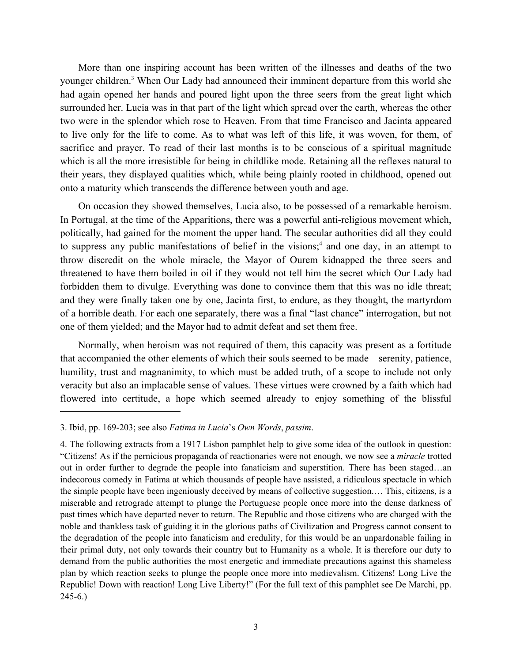More than one inspiring account has been written of the illnesses and deaths of the two younger children.<sup>3</sup> When Our Lady had announced their imminent departure from this world she had again opened her hands and poured light upon the three seers from the great light which surrounded her. Lucia was in that part of the light which spread over the earth, whereas the other two were in the splendor which rose to Heaven. From that time Francisco and Jacinta appeared to live only for the life to come. As to what was left of this life, it was woven, for them, of sacrifice and prayer. To read of their last months is to be conscious of a spiritual magnitude which is all the more irresistible for being in childlike mode. Retaining all the reflexes natural to their years, they displayed qualities which, while being plainly rooted in childhood, opened out onto a maturity which transcends the difference between youth and age.

On occasion they showed themselves, Lucia also, to be possessed of a remarkable heroism. In Portugal, at the time of the Apparitions, there was a powerful anti-religious movement which, politically, had gained for the moment the upper hand. The secular authorities did all they could to suppress any public manifestations of belief in the visions;<sup>4</sup> and one day, in an attempt to throw discredit on the whole miracle, the Mayor of Ourem kidnapped the three seers and threatened to have them boiled in oil if they would not tell him the secret which Our Lady had forbidden them to divulge. Everything was done to convince them that this was no idle threat; and they were finally taken one by one, Jacinta first, to endure, as they thought, the martyrdom of a horrible death. For each one separately, there was a final "last chance" interrogation, but not one of them yielded; and the Mayor had to admit defeat and set them free.

Normally, when heroism was not required of them, this capacity was present as a fortitude that accompanied the other elements of which their souls seemed to be made—serenity, patience, humility, trust and magnanimity, to which must be added truth, of a scope to include not only veracity but also an implacable sense of values. These virtues were crowned by a faith which had flowered into certitude, a hope which seemed already to enjoy something of the blissful

 3. Ibid, pp. 169-203; see also *Fatima in Lucia*'s *Own Words*, *passim*.

<sup>4.</sup> The following extracts from a 1917 Lisbon pamphlet help to give some idea of the outlook in question: "Citizens! As if the pernicious propaganda of reactionaries were not enough, we now see a *miracle* trotted out in order further to degrade the people into fanaticism and superstition. There has been staged…an indecorous comedy in Fatima at which thousands of people have assisted, a ridiculous spectacle in which the simple people have been ingeniously deceived by means of collective suggestion.… This, citizens, is a miserable and retrograde attempt to plunge the Portuguese people once more into the dense darkness of past times which have departed never to return. The Republic and those citizens who are charged with the noble and thankless task of guiding it in the glorious paths of Civilization and Progress cannot consent to the degradation of the people into fanaticism and credulity, for this would be an unpardonable failing in their primal duty, not only towards their country but to Humanity as a whole. It is therefore our duty to demand from the public authorities the most energetic and immediate precautions against this shameless plan by which reaction seeks to plunge the people once more into medievalism. Citizens! Long Live the Republic! Down with reaction! Long Live Liberty!" (For the full text of this pamphlet see De Marchi, pp. 245-6.)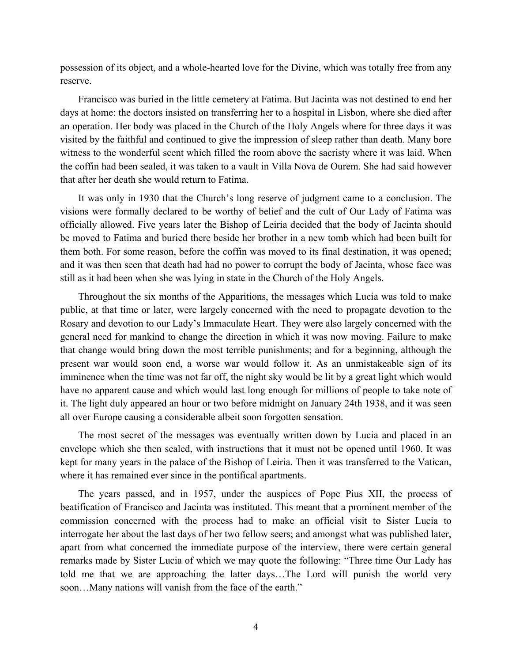possession of its object, and a whole-hearted love for the Divine, which was totally free from any reserve.

Francisco was buried in the little cemetery at Fatima. But Jacinta was not destined to end her days at home: the doctors insisted on transferring her to a hospital in Lisbon, where she died after an operation. Her body was placed in the Church of the Holy Angels where for three days it was visited by the faithful and continued to give the impression of sleep rather than death. Many bore witness to the wonderful scent which filled the room above the sacristy where it was laid. When the coffin had been sealed, it was taken to a vault in Villa Nova de Ourem. She had said however that after her death she would return to Fatima.

It was only in 1930 that the Church's long reserve of judgment came to a conclusion. The visions were formally declared to be worthy of belief and the cult of Our Lady of Fatima was officially allowed. Five years later the Bishop of Leiria decided that the body of Jacinta should be moved to Fatima and buried there beside her brother in a new tomb which had been built for them both. For some reason, before the coffin was moved to its final destination, it was opened; and it was then seen that death had had no power to corrupt the body of Jacinta, whose face was still as it had been when she was lying in state in the Church of the Holy Angels.

Throughout the six months of the Apparitions, the messages which Lucia was told to make public, at that time or later, were largely concerned with the need to propagate devotion to the Rosary and devotion to our Lady's Immaculate Heart. They were also largely concerned with the general need for mankind to change the direction in which it was now moving. Failure to make that change would bring down the most terrible punishments; and for a beginning, although the present war would soon end, a worse war would follow it. As an unmistakeable sign of its imminence when the time was not far off, the night sky would be lit by a great light which would have no apparent cause and which would last long enough for millions of people to take note of it. The light duly appeared an hour or two before midnight on January 24th 1938, and it was seen all over Europe causing a considerable albeit soon forgotten sensation.

The most secret of the messages was eventually written down by Lucia and placed in an envelope which she then sealed, with instructions that it must not be opened until 1960. It was kept for many years in the palace of the Bishop of Leiria. Then it was transferred to the Vatican, where it has remained ever since in the pontifical apartments.

The years passed, and in 1957, under the auspices of Pope Pius XII, the process of beatification of Francisco and Jacinta was instituted. This meant that a prominent member of the commission concerned with the process had to make an official visit to Sister Lucia to interrogate her about the last days of her two fellow seers; and amongst what was published later, apart from what concerned the immediate purpose of the interview, there were certain general remarks made by Sister Lucia of which we may quote the following: "Three time Our Lady has told me that we are approaching the latter days…The Lord will punish the world very soon…Many nations will vanish from the face of the earth."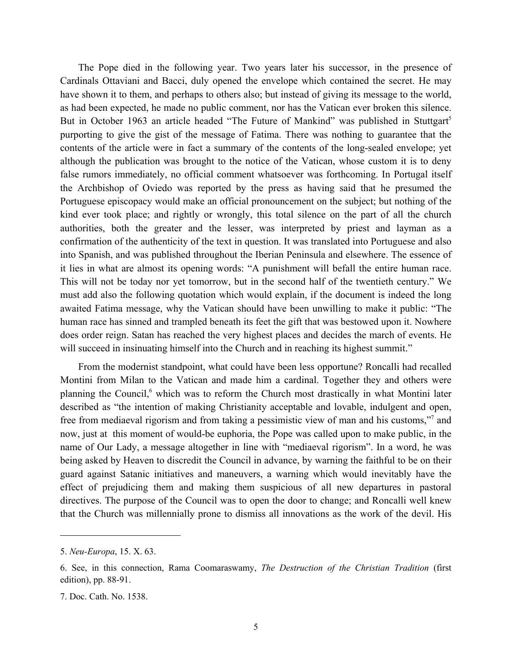The Pope died in the following year. Two years later his successor, in the presence of Cardinals Ottaviani and Bacci, duly opened the envelope which contained the secret. He may have shown it to them, and perhaps to others also; but instead of giving its message to the world, as had been expected, he made no public comment, nor has the Vatican ever broken this silence. But in October 1963 an article headed "The Future of Mankind" was published in Stuttgart<sup>5</sup> purporting to give the gist of the message of Fatima. There was nothing to guarantee that the contents of the article were in fact a summary of the contents of the long-sealed envelope; yet although the publication was brought to the notice of the Vatican, whose custom it is to deny false rumors immediately, no official comment whatsoever was forthcoming. In Portugal itself the Archbishop of Oviedo was reported by the press as having said that he presumed the Portuguese episcopacy would make an official pronouncement on the subject; but nothing of the kind ever took place; and rightly or wrongly, this total silence on the part of all the church authorities, both the greater and the lesser, was interpreted by priest and layman as a confirmation of the authenticity of the text in question. It was translated into Portuguese and also into Spanish, and was published throughout the Iberian Peninsula and elsewhere. The essence of it lies in what are almost its opening words: "A punishment will befall the entire human race. This will not be today nor yet tomorrow, but in the second half of the twentieth century." We must add also the following quotation which would explain, if the document is indeed the long awaited Fatima message, why the Vatican should have been unwilling to make it public: "The human race has sinned and trampled beneath its feet the gift that was bestowed upon it. Nowhere does order reign. Satan has reached the very highest places and decides the march of events. He will succeed in insinuating himself into the Church and in reaching its highest summit."

From the modernist standpoint, what could have been less opportune? Roncalli had recalled Montini from Milan to the Vatican and made him a cardinal. Together they and others were planning the Council,<sup>6</sup> which was to reform the Church most drastically in what Montini later described as "the intention of making Christianity acceptable and lovable, indulgent and open, free from mediaeval rigorism and from taking a pessimistic view of man and his customs,"<sup>7</sup> and now, just at this moment of would-be euphoria, the Pope was called upon to make public, in the name of Our Lady, a message altogether in line with "mediaeval rigorism". In a word, he was being asked by Heaven to discredit the Council in advance, by warning the faithful to be on their guard against Satanic initiatives and maneuvers, a warning which would inevitably have the effect of prejudicing them and making them suspicious of all new departures in pastoral directives. The purpose of the Council was to open the door to change; and Roncalli well knew that the Church was millennially prone to dismiss all innovations as the work of the devil. His

<sup>5.</sup> *Neu-Europa*, 15. X. 63.

 6. See, in this connection, Rama Coomaraswamy, *The Destruction of the Christian Tradition* (first edition), pp. 88-91.

<sup>7.</sup> Doc. Cath. No. 1538.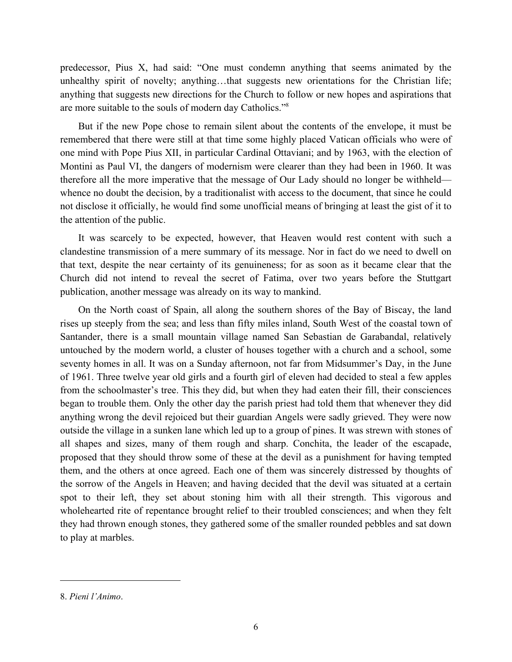predecessor, Pius X, had said: "One must condemn anything that seems animated by the unhealthy spirit of novelty; anything…that suggests new orientations for the Christian life; anything that suggests new directions for the Church to follow or new hopes and aspirations that are more suitable to the souls of modern day Catholics."8

But if the new Pope chose to remain silent about the contents of the envelope, it must be remembered that there were still at that time some highly placed Vatican officials who were of one mind with Pope Pius XII, in particular Cardinal Ottaviani; and by 1963, with the election of Montini as Paul VI, the dangers of modernism were clearer than they had been in 1960. It was therefore all the more imperative that the message of Our Lady should no longer be withheld whence no doubt the decision, by a traditionalist with access to the document, that since he could not disclose it officially, he would find some unofficial means of bringing at least the gist of it to the attention of the public.

It was scarcely to be expected, however, that Heaven would rest content with such a clandestine transmission of a mere summary of its message. Nor in fact do we need to dwell on that text, despite the near certainty of its genuineness; for as soon as it became clear that the Church did not intend to reveal the secret of Fatima, over two years before the Stuttgart publication, another message was already on its way to mankind.

On the North coast of Spain, all along the southern shores of the Bay of Biscay, the land rises up steeply from the sea; and less than fifty miles inland, South West of the coastal town of Santander, there is a small mountain village named San Sebastian de Garabandal, relatively untouched by the modern world, a cluster of houses together with a church and a school, some seventy homes in all. It was on a Sunday afternoon, not far from Midsummer's Day, in the June of 1961. Three twelve year old girls and a fourth girl of eleven had decided to steal a few apples from the schoolmaster's tree. This they did, but when they had eaten their fill, their consciences began to trouble them. Only the other day the parish priest had told them that whenever they did anything wrong the devil rejoiced but their guardian Angels were sadly grieved. They were now outside the village in a sunken lane which led up to a group of pines. It was strewn with stones of all shapes and sizes, many of them rough and sharp. Conchita, the leader of the escapade, proposed that they should throw some of these at the devil as a punishment for having tempted them, and the others at once agreed. Each one of them was sincerely distressed by thoughts of the sorrow of the Angels in Heaven; and having decided that the devil was situated at a certain spot to their left, they set about stoning him with all their strength. This vigorous and wholehearted rite of repentance brought relief to their troubled consciences; and when they felt they had thrown enough stones, they gathered some of the smaller rounded pebbles and sat down to play at marbles.

<sup>8.</sup> *Pieni l'Animo*.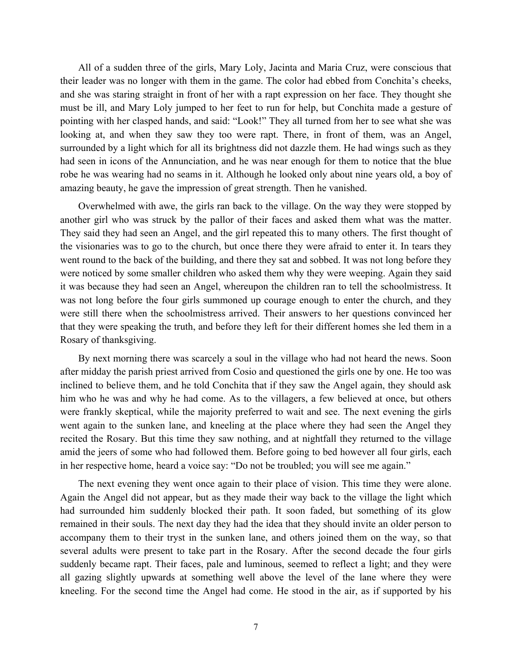All of a sudden three of the girls, Mary Loly, Jacinta and Maria Cruz, were conscious that their leader was no longer with them in the game. The color had ebbed from Conchita's cheeks, and she was staring straight in front of her with a rapt expression on her face. They thought she must be ill, and Mary Loly jumped to her feet to run for help, but Conchita made a gesture of pointing with her clasped hands, and said: "Look!" They all turned from her to see what she was looking at, and when they saw they too were rapt. There, in front of them, was an Angel, surrounded by a light which for all its brightness did not dazzle them. He had wings such as they had seen in icons of the Annunciation, and he was near enough for them to notice that the blue robe he was wearing had no seams in it. Although he looked only about nine years old, a boy of amazing beauty, he gave the impression of great strength. Then he vanished.

Overwhelmed with awe, the girls ran back to the village. On the way they were stopped by another girl who was struck by the pallor of their faces and asked them what was the matter. They said they had seen an Angel, and the girl repeated this to many others. The first thought of the visionaries was to go to the church, but once there they were afraid to enter it. In tears they went round to the back of the building, and there they sat and sobbed. It was not long before they were noticed by some smaller children who asked them why they were weeping. Again they said it was because they had seen an Angel, whereupon the children ran to tell the schoolmistress. It was not long before the four girls summoned up courage enough to enter the church, and they were still there when the schoolmistress arrived. Their answers to her questions convinced her that they were speaking the truth, and before they left for their different homes she led them in a Rosary of thanksgiving.

By next morning there was scarcely a soul in the village who had not heard the news. Soon after midday the parish priest arrived from Cosio and questioned the girls one by one. He too was inclined to believe them, and he told Conchita that if they saw the Angel again, they should ask him who he was and why he had come. As to the villagers, a few believed at once, but others were frankly skeptical, while the majority preferred to wait and see. The next evening the girls went again to the sunken lane, and kneeling at the place where they had seen the Angel they recited the Rosary. But this time they saw nothing, and at nightfall they returned to the village amid the jeers of some who had followed them. Before going to bed however all four girls, each in her respective home, heard a voice say: "Do not be troubled; you will see me again."

The next evening they went once again to their place of vision. This time they were alone. Again the Angel did not appear, but as they made their way back to the village the light which had surrounded him suddenly blocked their path. It soon faded, but something of its glow remained in their souls. The next day they had the idea that they should invite an older person to accompany them to their tryst in the sunken lane, and others joined them on the way, so that several adults were present to take part in the Rosary. After the second decade the four girls suddenly became rapt. Their faces, pale and luminous, seemed to reflect a light; and they were all gazing slightly upwards at something well above the level of the lane where they were kneeling. For the second time the Angel had come. He stood in the air, as if supported by his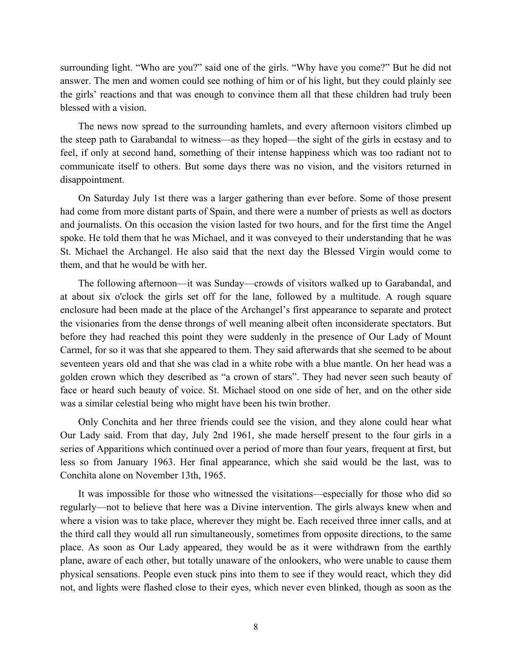surrounding light. "Who are you?" said one of the girls. "Why have you come?" But he did not answer. The men and women could see nothing of him or of his light, but they could plainly see the girls' reactions and that was enough to convince them all that these children had truly been blessed with a vision.

The news now spread to the surrounding hamlets, and every afternoon visitors climbed up the steep path to Garabandal to witness—as they hoped—the sight of the girls in ecstasy and to feel, if only at second hand, something of their intense happiness which was too radiant not to communicate itself to others. But some days there was no vision, and the visitors returned in disappointment.

On Saturday July 1st there was a larger gathering than ever before. Some of those present had come from more distant parts of Spain, and there were a number of priests as well as doctors and journalists. On this occasion the vision lasted for two hours, and for the first time the Angel spoke. He told them that he was Michael, and it was conveyed to their understanding that he was St. Michael the Archangel. He also said that the next day the Blessed Virgin would come to them, and that he would be with her.

The following afternoon—it was Sunday—crowds of visitors walked up to Garabandal, and at about six o'clock the girls set off for the lane, followed by a multitude. A rough square enclosure had been made at the place of the Archangel's first appearance to separate and protect the visionaries from the dense throngs of well meaning albeit often inconsiderate spectators. But before they had reached this point they were suddenly in the presence of Our Lady of Mount Carmel, for so it was that she appeared to them. They said afterwards that she seemed to be about seventeen years old and that she was clad in a white robe with a blue mantle. On her head was a golden crown which they described as "a crown of stars". They had never seen such beauty of face or heard such beauty of voice. St. Michael stood on one side of her, and on the other side was a similar celestial being who might have been his twin brother.

Only Conchita and her three friends could see the vision, and they alone could hear what Our Lady said. From that day, July 2nd 1961, she made herself present to the four girls in a series of Apparitions which continued over a period of more than four years, frequent at first, but less so from January 1963. Her final appearance, which she said would be the last, was to Conchita alone on November 13th, 1965.

It was impossible for those who witnessed the visitations—especially for those who did so regularly—not to believe that here was a Divine intervention. The girls always knew when and where a vision was to take place, wherever they might be. Each received three inner calls, and at the third call they would all run simultaneously, sometimes from opposite directions, to the same place. As soon as Our Lady appeared, they would be as it were withdrawn from the earthly plane, aware of each other, but totally unaware of the onlookers, who were unable to cause them physical sensations. People even stuck pins into them to see if they would react, which they did not, and lights were flashed close to their eyes, which never even blinked, though as soon as the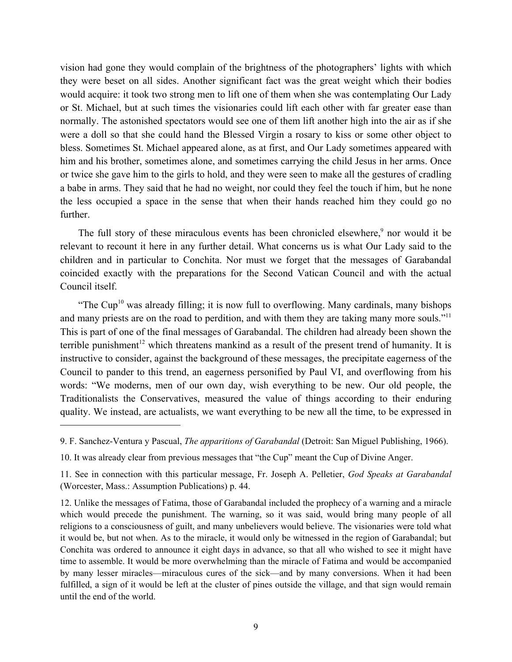vision had gone they would complain of the brightness of the photographers' lights with which they were beset on all sides. Another significant fact was the great weight which their bodies would acquire: it took two strong men to lift one of them when she was contemplating Our Lady or St. Michael, but at such times the visionaries could lift each other with far greater ease than normally. The astonished spectators would see one of them lift another high into the air as if she were a doll so that she could hand the Blessed Virgin a rosary to kiss or some other object to bless. Sometimes St. Michael appeared alone, as at first, and Our Lady sometimes appeared with him and his brother, sometimes alone, and sometimes carrying the child Jesus in her arms. Once or twice she gave him to the girls to hold, and they were seen to make all the gestures of cradling a babe in arms. They said that he had no weight, nor could they feel the touch if him, but he none the less occupied a space in the sense that when their hands reached him they could go no further.

The full story of these miraculous events has been chronicled elsewhere,<sup>9</sup> nor would it be relevant to recount it here in any further detail. What concerns us is what Our Lady said to the children and in particular to Conchita. Nor must we forget that the messages of Garabandal coincided exactly with the preparations for the Second Vatican Council and with the actual Council itself.

"The Cup<sup>10</sup> was already filling; it is now full to overflowing. Many cardinals, many bishops and many priests are on the road to perdition, and with them they are taking many more souls."<sup>11</sup> This is part of one of the final messages of Garabandal. The children had already been shown the terrible punishment<sup>12</sup> which threatens mankind as a result of the present trend of humanity. It is instructive to consider, against the background of these messages, the precipitate eagerness of the Council to pander to this trend, an eagerness personified by Paul VI, and overflowing from his words: "We moderns, men of our own day, wish everything to be new. Our old people, the Traditionalists the Conservatives, measured the value of things according to their enduring quality. We instead, are actualists, we want everything to be new all the time, to be expressed in

 9. F. Sanchez-Ventura y Pascual, *The apparitions of Garabandal* (Detroit: San Miguel Publishing, 1966).

<sup>10.</sup> It was already clear from previous messages that "the Cup" meant the Cup of Divine Anger.

<sup>11.</sup> See in connection with this particular message, Fr. Joseph A. Pelletier, *God Speaks at Garabandal*  (Worcester, Mass.: Assumption Publications) p. 44.

<sup>12.</sup> Unlike the messages of Fatima, those of Garabandal included the prophecy of a warning and a miracle which would precede the punishment. The warning, so it was said, would bring many people of all religions to a consciousness of guilt, and many unbelievers would believe. The visionaries were told what it would be, but not when. As to the miracle, it would only be witnessed in the region of Garabandal; but Conchita was ordered to announce it eight days in advance, so that all who wished to see it might have time to assemble. It would be more overwhelming than the miracle of Fatima and would be accompanied by many lesser miracles—miraculous cures of the sick—and by many conversions. When it had been fulfilled, a sign of it would be left at the cluster of pines outside the village, and that sign would remain until the end of the world.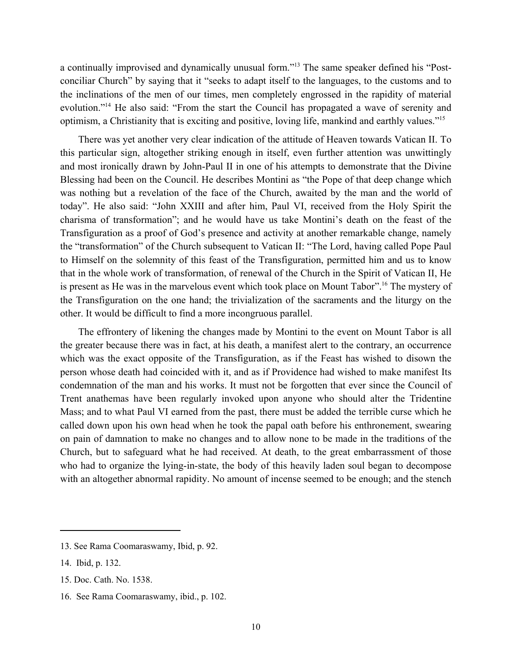a continually improvised and dynamically unusual form."13 The same speaker defined his "Postconciliar Church" by saying that it "seeks to adapt itself to the languages, to the customs and to the inclinations of the men of our times, men completely engrossed in the rapidity of material evolution."14 He also said: "From the start the Council has propagated a wave of serenity and optimism, a Christianity that is exciting and positive, loving life, mankind and earthly values."15

There was yet another very clear indication of the attitude of Heaven towards Vatican II. To this particular sign, altogether striking enough in itself, even further attention was unwittingly and most ironically drawn by John-Paul II in one of his attempts to demonstrate that the Divine Blessing had been on the Council. He describes Montini as "the Pope of that deep change which was nothing but a revelation of the face of the Church, awaited by the man and the world of today". He also said: "John XXIII and after him, Paul VI, received from the Holy Spirit the charisma of transformation"; and he would have us take Montini's death on the feast of the Transfiguration as a proof of God's presence and activity at another remarkable change, namely the "transformation" of the Church subsequent to Vatican II: "The Lord, having called Pope Paul to Himself on the solemnity of this feast of the Transfiguration, permitted him and us to know that in the whole work of transformation, of renewal of the Church in the Spirit of Vatican II, He is present as He was in the marvelous event which took place on Mount Tabor".<sup>16</sup> The mystery of the Transfiguration on the one hand; the trivialization of the sacraments and the liturgy on the other. It would be difficult to find a more incongruous parallel.

The effrontery of likening the changes made by Montini to the event on Mount Tabor is all the greater because there was in fact, at his death, a manifest alert to the contrary, an occurrence which was the exact opposite of the Transfiguration, as if the Feast has wished to disown the person whose death had coincided with it, and as if Providence had wished to make manifest Its condemnation of the man and his works. It must not be forgotten that ever since the Council of Trent anathemas have been regularly invoked upon anyone who should alter the Tridentine Mass; and to what Paul VI earned from the past, there must be added the terrible curse which he called down upon his own head when he took the papal oath before his enthronement, swearing on pain of damnation to make no changes and to allow none to be made in the traditions of the Church, but to safeguard what he had received. At death, to the great embarrassment of those who had to organize the lying-in-state, the body of this heavily laden soul began to decompose with an altogether abnormal rapidity. No amount of incense seemed to be enough; and the stench

<sup>13.</sup> See Rama Coomaraswamy, Ibid, p. 92.

<sup>14.</sup> Ibid, p. 132.

<sup>15.</sup> Doc. Cath. No. 1538.

<sup>16.</sup> See Rama Coomaraswamy, ibid., p. 102.